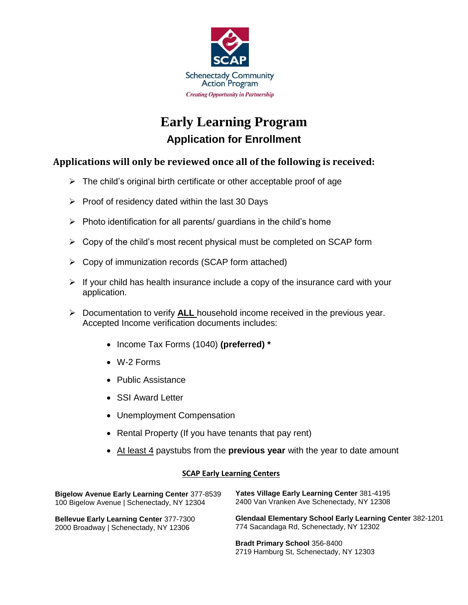

# **Early Learning Program Application for Enrollment**

## **Applications will only be reviewed once all of the following is received:**

- $\triangleright$  The child's original birth certificate or other acceptable proof of age
- $\triangleright$  Proof of residency dated within the last 30 Days
- $\triangleright$  Photo identification for all parents/ guardians in the child's home
- $\triangleright$  Copy of the child's most recent physical must be completed on SCAP form
- $\triangleright$  Copy of immunization records (SCAP form attached)
- $\triangleright$  If your child has health insurance include a copy of the insurance card with your application.
- Documentation to verify **ALL** household income received in the previous year. Accepted Income verification documents includes:
	- Income Tax Forms (1040) **(preferred) \***
	- W-2 Forms
	- Public Assistance
	- SSI Award Letter
	- Unemployment Compensation
	- Rental Property (If you have tenants that pay rent)
	- At least 4 paystubs from the **previous year** with the year to date amount

### **SCAP Early Learning Centers**

| <b>Bigelow Avenue Early Learning Center 377-8539</b> | <b>Yates Village Early Learning Center 381-4195</b>              |
|------------------------------------------------------|------------------------------------------------------------------|
| 100 Bigelow Avenue   Schenectady, NY 12304           | 2400 Van Vranken Ave Schenectady, NY 12308                       |
| <b>Bellevue Early Learning Center 377-7300</b>       | <b>Glendaal Elementary School Early Learning Center 382-1201</b> |
| 2000 Broadway   Schenectady, NY 12306                | 774 Sacandaga Rd, Schenectady, NY 12302                          |
|                                                      | <b>Bradt Primary School 356-8400</b>                             |

2719 Hamburg St, Schenectady, NY 12303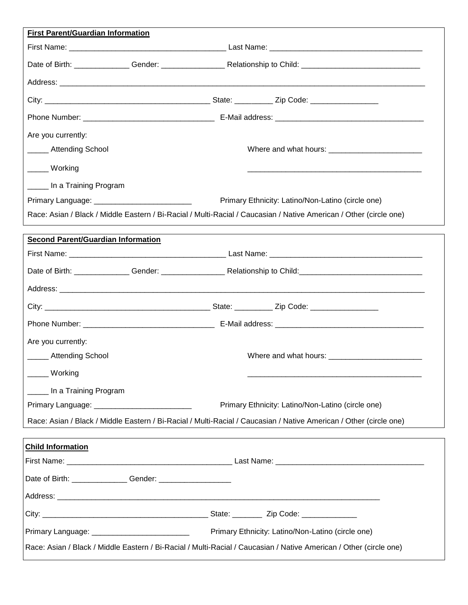| First Parent/Guardian Information              |                                                                                                                    |  |  |  |  |
|------------------------------------------------|--------------------------------------------------------------------------------------------------------------------|--|--|--|--|
|                                                |                                                                                                                    |  |  |  |  |
|                                                |                                                                                                                    |  |  |  |  |
|                                                |                                                                                                                    |  |  |  |  |
|                                                |                                                                                                                    |  |  |  |  |
|                                                |                                                                                                                    |  |  |  |  |
| Are you currently:                             |                                                                                                                    |  |  |  |  |
| ______ Attending School                        |                                                                                                                    |  |  |  |  |
| _____ Working                                  |                                                                                                                    |  |  |  |  |
| ______ In a Training Program                   |                                                                                                                    |  |  |  |  |
| Primary Language: ____________________________ | Primary Ethnicity: Latino/Non-Latino (circle one)                                                                  |  |  |  |  |
|                                                | Race: Asian / Black / Middle Eastern / Bi-Racial / Multi-Racial / Caucasian / Native American / Other (circle one) |  |  |  |  |
| <b>Second Parent/Guardian Information</b>      |                                                                                                                    |  |  |  |  |
|                                                |                                                                                                                    |  |  |  |  |
|                                                |                                                                                                                    |  |  |  |  |
|                                                |                                                                                                                    |  |  |  |  |
|                                                |                                                                                                                    |  |  |  |  |
|                                                |                                                                                                                    |  |  |  |  |
| Are you currently:                             |                                                                                                                    |  |  |  |  |
| ______ Attending School                        |                                                                                                                    |  |  |  |  |
| ____ Working                                   |                                                                                                                    |  |  |  |  |
| In a Training Program                          |                                                                                                                    |  |  |  |  |
| Primary Language: ___________________________  | Primary Ethnicity: Latino/Non-Latino (circle one)                                                                  |  |  |  |  |
|                                                | Race: Asian / Black / Middle Eastern / Bi-Racial / Multi-Racial / Caucasian / Native American / Other (circle one) |  |  |  |  |
| <b>Child Information</b>                       |                                                                                                                    |  |  |  |  |
|                                                |                                                                                                                    |  |  |  |  |
|                                                |                                                                                                                    |  |  |  |  |
|                                                |                                                                                                                    |  |  |  |  |
|                                                |                                                                                                                    |  |  |  |  |
|                                                |                                                                                                                    |  |  |  |  |
|                                                | Race: Asian / Black / Middle Eastern / Bi-Racial / Multi-Racial / Caucasian / Native American / Other (circle one) |  |  |  |  |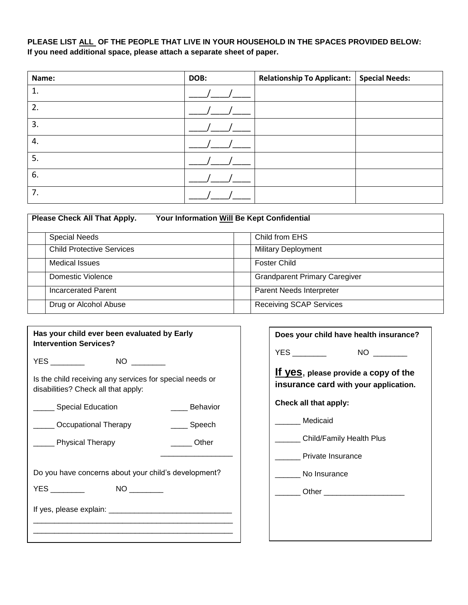## **PLEASE LIST ALL OF THE PEOPLE THAT LIVE IN YOUR HOUSEHOLD IN THE SPACES PROVIDED BELOW: If you need additional space, please attach a separate sheet of paper.**

| Name: | DOB: | <b>Relationship To Applicant:</b> | <b>Special Needs:</b> |
|-------|------|-----------------------------------|-----------------------|
| 1.    |      |                                   |                       |
| 2.    |      |                                   |                       |
| 3.    |      |                                   |                       |
| 4.    |      |                                   |                       |
| 5.    |      |                                   |                       |
| 6.    |      |                                   |                       |
| 7.    |      |                                   |                       |

| Please Check All That Apply.     | Your Information Will Be Kept Confidential |
|----------------------------------|--------------------------------------------|
| <b>Special Needs</b>             | Child from EHS                             |
| <b>Child Protective Services</b> | <b>Military Deployment</b>                 |
| <b>Medical Issues</b>            | <b>Foster Child</b>                        |
| Domestic Violence                | <b>Grandparent Primary Caregiver</b>       |
| <b>Incarcerated Parent</b>       | Parent Needs Interpreter                   |
| Drug or Alcohol Abuse            | <b>Receiving SCAP Services</b>             |

| Has your child ever been evaluated by Early<br><b>Intervention Services?</b>                    | Do          |
|-------------------------------------------------------------------------------------------------|-------------|
| YES ___________    NO _________                                                                 | YE.         |
| Is the child receiving any services for special needs or<br>disabilities? Check all that apply: | lf ۱<br>ins |
| Special Education<br>____ Behavior                                                              | Ch          |
| ______ Speech<br><b>COCCUPATION COVERENT</b> Occupational Therapy                               |             |
| Denomination Communication<br><b>Example 21 Physical Therapy</b>                                |             |
|                                                                                                 |             |
| Do you have concerns about your child's development?                                            |             |
|                                                                                                 |             |
|                                                                                                 |             |
|                                                                                                 |             |
|                                                                                                 |             |

| Does your child have health insurance?                                        |
|-------------------------------------------------------------------------------|
| YES __________                                                                |
| If yes, please provide a copy of the<br>insurance card with your application. |
| Check all that apply:                                                         |
| Medicaid                                                                      |
| Child/Family Health Plus                                                      |
| Private Insurance                                                             |
| No Insurance                                                                  |
|                                                                               |
|                                                                               |
|                                                                               |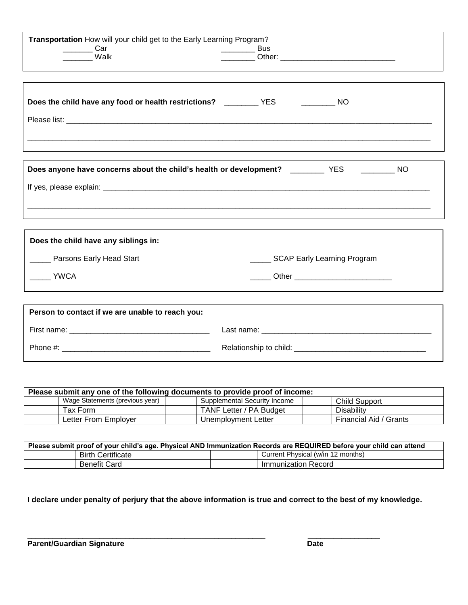| $\frac{1}{2}$ Car<br>Walk                                                                          | $\frac{1}{2}$ Bus<br>__ Other: ________________________________ |
|----------------------------------------------------------------------------------------------------|-----------------------------------------------------------------|
| Does the child have any food or health restrictions? _____________YES ___________________NO        |                                                                 |
| Does anyone have concerns about the child's health or development? ____________ YES ___________ NO |                                                                 |
| Does the child have any siblings in:<br>_____ Parsons Early Head Start<br><b>YWCA</b>              | SCAP Early Learning Program                                     |
| Person to contact if we are unable to reach you:                                                   |                                                                 |

| Please submit any one of the following documents to provide proof of income: |                                 |                              |                        |  |  |  |
|------------------------------------------------------------------------------|---------------------------------|------------------------------|------------------------|--|--|--|
|                                                                              | Wage Statements (previous year) | Supplemental Security Income | Child Support          |  |  |  |
|                                                                              | Tax Form                        | TANF Letter / PA Budget      | Disability             |  |  |  |
|                                                                              | Letter From Employer            | Unemployment Letter          | Financial Aid / Grants |  |  |  |

| Please submit proof of your child's age. Physical AND Immunization Records are REQUIRED before your child can attend |                          |  |                                   |  |  |  |
|----------------------------------------------------------------------------------------------------------------------|--------------------------|--|-----------------------------------|--|--|--|
|                                                                                                                      | <b>Birth Certificate</b> |  | Current Physical (w/in 12 months) |  |  |  |
|                                                                                                                      | Benefit Card             |  | Immunization Record               |  |  |  |

**I declare under penalty of perjury that the above information is true and correct to the best of my knowledge.**

\_\_\_\_\_\_\_\_\_\_\_\_\_\_\_\_\_\_\_\_\_\_\_\_\_\_\_\_\_\_\_\_\_\_\_\_\_\_\_\_\_\_\_\_\_\_\_\_\_\_\_\_\_\_\_\_ \_\_\_\_\_\_\_\_\_\_\_\_\_\_\_\_\_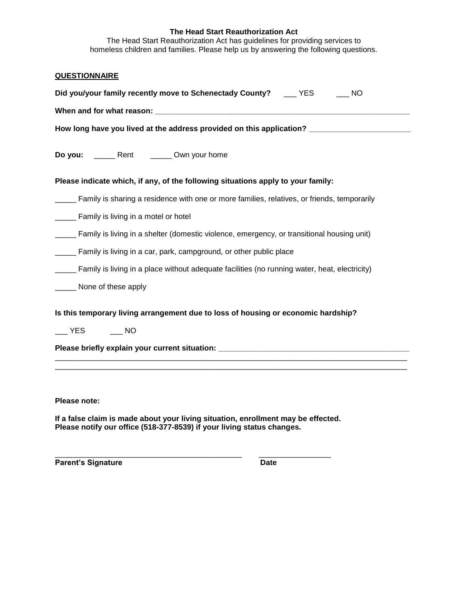#### **The Head Start Reauthorization Act**

The Head Start Reauthorization Act has guidelines for providing services to homeless children and families. Please help us by answering the following questions.

| <b>QUESTIONNAIRE</b>                                                                                                                                        |
|-------------------------------------------------------------------------------------------------------------------------------------------------------------|
| Did you/your family recently move to Schenectady County? ___ YES ___ NO                                                                                     |
|                                                                                                                                                             |
| How long have you lived at the address provided on this application? ______________________________                                                         |
| Do you: ________ Rent _________ Own your home                                                                                                               |
| Please indicate which, if any, of the following situations apply to your family:                                                                            |
| Family is sharing a residence with one or more families, relatives, or friends, temporarily                                                                 |
| Family is living in a motel or hotel                                                                                                                        |
| Family is living in a shelter (domestic violence, emergency, or transitional housing unit)                                                                  |
| Family is living in a car, park, campground, or other public place                                                                                          |
| Family is living in a place without adequate facilities (no running water, heat, electricity)                                                               |
| _____ None of these apply                                                                                                                                   |
| Is this temporary living arrangement due to loss of housing or economic hardship?                                                                           |
|                                                                                                                                                             |
| Please briefly explain your current situation: _________________________________                                                                            |
|                                                                                                                                                             |
|                                                                                                                                                             |
| Please note:                                                                                                                                                |
| If a false claim is made about your living situation, enrollment may be effected.<br>Please notify our office (518-377-8539) if your living status changes. |

Parent's Signature Date

\_\_\_\_\_\_\_\_\_\_\_\_\_\_\_\_\_\_\_\_\_\_\_\_\_\_\_\_\_\_\_\_\_\_\_\_\_\_\_\_\_\_\_\_ \_\_\_\_\_\_\_\_\_\_\_\_\_\_\_\_\_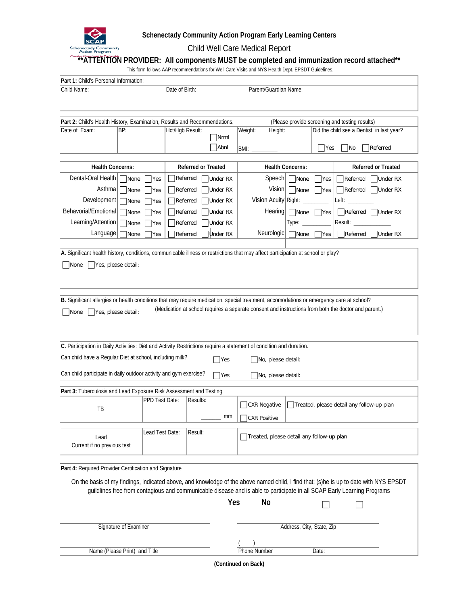

## **Schenectady Community Action Program Early Learning Centers**

Child Well Care Medical Report

# **\*\*ATTENTION PROVIDER: All components MUST be completed and immunization record attached\*\***

This form follows AAP recommendations for Well Care Visits and NYS Health Dept. EPSDT Guidelines.

| Part 1: Child's Personal Information:                                                                                                                                                                                                                            |                                         |                 |                                                |          |                                           |                           |            |                                                                                                      |  |
|------------------------------------------------------------------------------------------------------------------------------------------------------------------------------------------------------------------------------------------------------------------|-----------------------------------------|-----------------|------------------------------------------------|----------|-------------------------------------------|---------------------------|------------|------------------------------------------------------------------------------------------------------|--|
| Child Name:                                                                                                                                                                                                                                                      | Date of Birth:<br>Parent/Guardian Name: |                 |                                                |          |                                           |                           |            |                                                                                                      |  |
|                                                                                                                                                                                                                                                                  |                                         |                 |                                                |          |                                           |                           |            |                                                                                                      |  |
|                                                                                                                                                                                                                                                                  |                                         |                 |                                                |          |                                           |                           |            |                                                                                                      |  |
| Part 2: Child's Health History, Examination, Results and Recommendations.                                                                                                                                                                                        |                                         |                 | (Please provide screening and testing results) |          |                                           |                           |            |                                                                                                      |  |
| Date of Exam:                                                                                                                                                                                                                                                    | BP:                                     |                 | Hct/Hgb Result:                                | Nrml     | Weight:<br>Height:                        |                           |            | Did the child see a Dentist in last year?                                                            |  |
|                                                                                                                                                                                                                                                                  |                                         |                 |                                                |          |                                           |                           |            |                                                                                                      |  |
| Abnl<br>$\exists$ Yes<br>Referred<br> No<br>BMI:                                                                                                                                                                                                                 |                                         |                 |                                                |          |                                           |                           |            |                                                                                                      |  |
| <b>Health Concerns:</b>                                                                                                                                                                                                                                          |                                         |                 | <b>Referred or Treated</b>                     |          | <b>Health Concerns:</b>                   |                           |            | <b>Referred or Treated</b>                                                                           |  |
| Dental-Oral Health                                                                                                                                                                                                                                               | None                                    | Yes             | Referred                                       | Under RX | Speech                                    | None                      | <b>Yes</b> | Referred<br>Under RX                                                                                 |  |
| Asthma                                                                                                                                                                                                                                                           | None                                    | Yes             | Referred                                       | Under RX |                                           | Vision   None             | Yes        | Referred<br>Under RX                                                                                 |  |
| Development                                                                                                                                                                                                                                                      | None                                    | Yes             | Referred                                       | Under RX | Vision Acuity Right:                      |                           |            |                                                                                                      |  |
| Behavorial/Emotional                                                                                                                                                                                                                                             | None                                    | Yes             | Referred                                       | Under RX | Hearing                                   | None                      | $ $ Yes    | $\bigcap$ Referred $\bigcap$ Under RX                                                                |  |
| Learning/Attention                                                                                                                                                                                                                                               | None                                    | Yes             | Referred                                       | Under RX |                                           | Type:                     |            | Result: ______                                                                                       |  |
| Language                                                                                                                                                                                                                                                         | None                                    | Yes             | Referred                                       | Under RX | Neurologic                                | None                      | Yes        | Referred<br>Under RX                                                                                 |  |
|                                                                                                                                                                                                                                                                  |                                         |                 |                                                |          |                                           |                           |            |                                                                                                      |  |
| A. Significant health history, conditions, communicable illness or restrictions that may affect participation at school or play?                                                                                                                                 |                                         |                 |                                                |          |                                           |                           |            |                                                                                                      |  |
| Yes, please detail:<br>   None                                                                                                                                                                                                                                   |                                         |                 |                                                |          |                                           |                           |            |                                                                                                      |  |
|                                                                                                                                                                                                                                                                  |                                         |                 |                                                |          |                                           |                           |            |                                                                                                      |  |
|                                                                                                                                                                                                                                                                  |                                         |                 |                                                |          |                                           |                           |            |                                                                                                      |  |
|                                                                                                                                                                                                                                                                  |                                         |                 |                                                |          |                                           |                           |            |                                                                                                      |  |
| B. Significant allergies or health conditions that may require medication, special treatment, accomodations or emergency care at school?                                                                                                                         |                                         |                 |                                                |          |                                           |                           |            | (Medication at school requires a separate consent and instructions from both the doctor and parent.) |  |
| Yes, please detail:<br>None                                                                                                                                                                                                                                      |                                         |                 |                                                |          |                                           |                           |            |                                                                                                      |  |
|                                                                                                                                                                                                                                                                  |                                         |                 |                                                |          |                                           |                           |            |                                                                                                      |  |
|                                                                                                                                                                                                                                                                  |                                         |                 |                                                |          |                                           |                           |            |                                                                                                      |  |
| C. Participation in Daily Activities: Diet and Activity Restrictions require a statement of condition and duration.                                                                                                                                              |                                         |                 |                                                |          |                                           |                           |            |                                                                                                      |  |
| Can child have a Regular Diet at school, including milk?                                                                                                                                                                                                         |                                         |                 |                                                | Yes      | No, please detail:                        |                           |            |                                                                                                      |  |
|                                                                                                                                                                                                                                                                  |                                         |                 |                                                |          |                                           |                           |            |                                                                                                      |  |
| Can child participate in daily outdoor activity and gym exercise?                                                                                                                                                                                                |                                         |                 |                                                | Yes      | No, please detail:                        |                           |            |                                                                                                      |  |
| Part 3: Tuberculosis and Lead Exposure Risk Assessment and Testing                                                                                                                                                                                               |                                         |                 |                                                |          |                                           |                           |            |                                                                                                      |  |
|                                                                                                                                                                                                                                                                  |                                         | PPD Test Date:  | Results:                                       |          |                                           |                           |            |                                                                                                      |  |
| TB                                                                                                                                                                                                                                                               |                                         |                 |                                                |          | CXR Negative                              |                           |            | Treated, please detail any follow-up plan                                                            |  |
|                                                                                                                                                                                                                                                                  |                                         |                 |                                                | mm       | CXR Positive                              |                           |            |                                                                                                      |  |
|                                                                                                                                                                                                                                                                  |                                         | Lead Test Date: | Result:                                        |          |                                           |                           |            |                                                                                                      |  |
| Lead<br>Current if no previous test                                                                                                                                                                                                                              |                                         |                 |                                                |          | Treated, please detail any follow-up plan |                           |            |                                                                                                      |  |
|                                                                                                                                                                                                                                                                  |                                         |                 |                                                |          |                                           |                           |            |                                                                                                      |  |
|                                                                                                                                                                                                                                                                  |                                         |                 |                                                |          |                                           |                           |            |                                                                                                      |  |
| Part 4: Required Provider Certification and Signature                                                                                                                                                                                                            |                                         |                 |                                                |          |                                           |                           |            |                                                                                                      |  |
| On the basis of my findings, indicated above, and knowledge of the above named child, I find that: (s)he is up to date with NYS EPSDT<br>guildlines free from contagious and communicable disease and is able to participate in all SCAP Early Learning Programs |                                         |                 |                                                |          |                                           |                           |            |                                                                                                      |  |
|                                                                                                                                                                                                                                                                  |                                         |                 |                                                | Yes      | No                                        |                           |            |                                                                                                      |  |
|                                                                                                                                                                                                                                                                  |                                         |                 |                                                |          |                                           |                           |            |                                                                                                      |  |
|                                                                                                                                                                                                                                                                  |                                         |                 |                                                |          |                                           |                           |            |                                                                                                      |  |
|                                                                                                                                                                                                                                                                  | Signature of Examiner                   |                 |                                                |          |                                           | Address, City, State, Zip |            |                                                                                                      |  |
|                                                                                                                                                                                                                                                                  |                                         |                 |                                                |          |                                           |                           |            |                                                                                                      |  |
|                                                                                                                                                                                                                                                                  | Name (Please Print) and Title           |                 |                                                |          | <b>Phone Number</b>                       |                           | Date:      |                                                                                                      |  |

**(Continued on Back)**